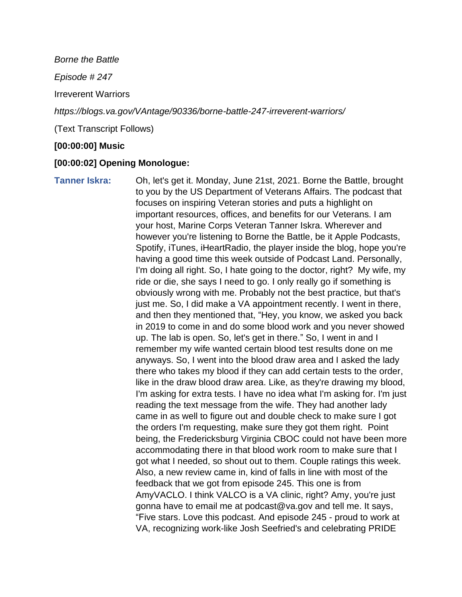*Borne the Battle*

*Episode # 247*

Irreverent Warriors

*https://blogs.va.gov/VAntage/90336/borne-battle-247-irreverent-warriors/*

(Text Transcript Follows)

## **[00:00:00] Music**

## **[00:00:02] Opening Monologue:**

**Tanner Iskra:** Oh, let's get it. Monday, June 21st, 2021. Borne the Battle, brought to you by the US Department of Veterans Affairs. The podcast that focuses on inspiring Veteran stories and puts a highlight on important resources, offices, and benefits for our Veterans. I am your host, Marine Corps Veteran Tanner Iskra. Wherever and however you're listening to Borne the Battle, be it Apple Podcasts, Spotify, iTunes, iHeartRadio, the player inside the blog, hope you're having a good time this week outside of Podcast Land. Personally, I'm doing all right. So, I hate going to the doctor, right? My wife, my ride or die, she says I need to go. I only really go if something is obviously wrong with me. Probably not the best practice, but that's just me. So, I did make a VA appointment recently. I went in there, and then they mentioned that, "Hey, you know, we asked you back in 2019 to come in and do some blood work and you never showed up. The lab is open. So, let's get in there." So, I went in and I remember my wife wanted certain blood test results done on me anyways. So, I went into the blood draw area and I asked the lady there who takes my blood if they can add certain tests to the order, like in the draw blood draw area. Like, as they're drawing my blood, I'm asking for extra tests. I have no idea what I'm asking for. I'm just reading the text message from the wife. They had another lady came in as well to figure out and double check to make sure I got the orders I'm requesting, make sure they got them right. Point being, the Fredericksburg Virginia CBOC could not have been more accommodating there in that blood work room to make sure that I got what I needed, so shout out to them. Couple ratings this week. Also, a new review came in, kind of falls in line with most of the feedback that we got from episode 245. This one is from AmyVACLO. I think VALCO is a VA clinic, right? Amy, you're just gonna have to email me at podcast@va.gov and tell me. It says, "Five stars. Love this podcast. And episode 245 - proud to work at VA, recognizing work-like Josh Seefried's and celebrating PRIDE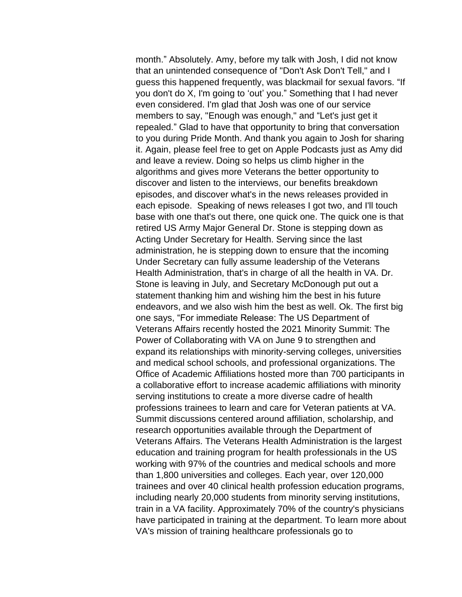month." Absolutely. Amy, before my talk with Josh, I did not know that an unintended consequence of "Don't Ask Don't Tell," and I guess this happened frequently, was blackmail for sexual favors. "If you don't do X, I'm going to 'out' you." Something that I had never even considered. I'm glad that Josh was one of our service members to say, "Enough was enough," and "Let's just get it repealed." Glad to have that opportunity to bring that conversation to you during Pride Month. And thank you again to Josh for sharing it. Again, please feel free to get on Apple Podcasts just as Amy did and leave a review. Doing so helps us climb higher in the algorithms and gives more Veterans the better opportunity to discover and listen to the interviews, our benefits breakdown episodes, and discover what's in the news releases provided in each episode. Speaking of news releases I got two, and I'll touch base with one that's out there, one quick one. The quick one is that retired US Army Major General Dr. Stone is stepping down as Acting Under Secretary for Health. Serving since the last administration, he is stepping down to ensure that the incoming Under Secretary can fully assume leadership of the Veterans Health Administration, that's in charge of all the health in VA. Dr. Stone is leaving in July, and Secretary McDonough put out a statement thanking him and wishing him the best in his future endeavors, and we also wish him the best as well. Ok. The first big one says, "For immediate Release: The US Department of Veterans Affairs recently hosted the 2021 Minority Summit: The Power of Collaborating with VA on June 9 to strengthen and expand its relationships with minority-serving colleges, universities and medical school schools, and professional organizations. The Office of Academic Affiliations hosted more than 700 participants in a collaborative effort to increase academic affiliations with minority serving institutions to create a more diverse cadre of health professions trainees to learn and care for Veteran patients at VA. Summit discussions centered around affiliation, scholarship, and research opportunities available through the Department of Veterans Affairs. The Veterans Health Administration is the largest education and training program for health professionals in the US working with 97% of the countries and medical schools and more than 1,800 universities and colleges. Each year, over 120,000 trainees and over 40 clinical health profession education programs, including nearly 20,000 students from minority serving institutions, train in a VA facility. Approximately 70% of the country's physicians have participated in training at the department. To learn more about VA's mission of training healthcare professionals go to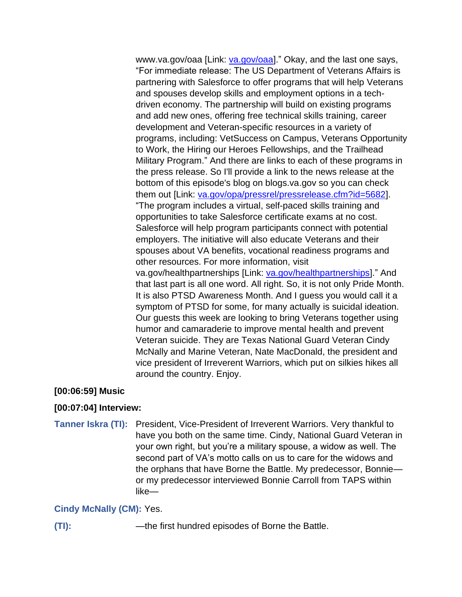www.va.gov/oaa [Link: [va.gov/oaa\]](https://www.va.gov/oaa/)." Okay, and the last one says, "For immediate release: The US Department of Veterans Affairs is partnering with Salesforce to offer programs that will help Veterans and spouses develop skills and employment options in a techdriven economy. The partnership will build on existing programs and add new ones, offering free technical skills training, career development and Veteran-specific resources in a variety of programs, including: VetSuccess on Campus, Veterans Opportunity to Work, the Hiring our Heroes Fellowships, and the Trailhead Military Program." And there are links to each of these programs in the press release. So I'll provide a link to the news release at the bottom of this episode's blog on blogs.va.gov so you can check them out [Link: [va.gov/opa/pressrel/pressrelease.cfm?id=5682\]](https://www.va.gov/opa/pressrel/pressrelease.cfm?id=5682). "The program includes a virtual, self-paced skills training and opportunities to take Salesforce certificate exams at no cost. Salesforce will help program participants connect with potential employers. The initiative will also educate Veterans and their spouses about VA benefits, vocational readiness programs and other resources. For more information, visit va.gov/healthpartnerships [Link: [va.gov/healthpartnerships\]](http://www.va.gov/healthpartnerships)." And that last part is all one word. All right. So, it is not only Pride Month. It is also PTSD Awareness Month. And I guess you would call it a symptom of PTSD for some, for many actually is suicidal ideation. Our guests this week are looking to bring Veterans together using humor and camaraderie to improve mental health and prevent Veteran suicide. They are Texas National Guard Veteran Cindy McNally and Marine Veteran, Nate MacDonald, the president and vice president of Irreverent Warriors, which put on silkies hikes all around the country. Enjoy.

### **[00:06:59] Music**

### **[00:07:04] Interview:**

**Tanner Iskra (TI):** President, Vice-President of Irreverent Warriors. Very thankful to have you both on the same time. Cindy, National Guard Veteran in your own right, but you're a military spouse, a widow as well. The second part of VA's motto calls on us to care for the widows and the orphans that have Borne the Battle. My predecessor, Bonnie or my predecessor interviewed Bonnie Carroll from TAPS within like—

### **Cindy McNally (CM):** Yes.

**(TI):** —the first hundred episodes of Borne the Battle.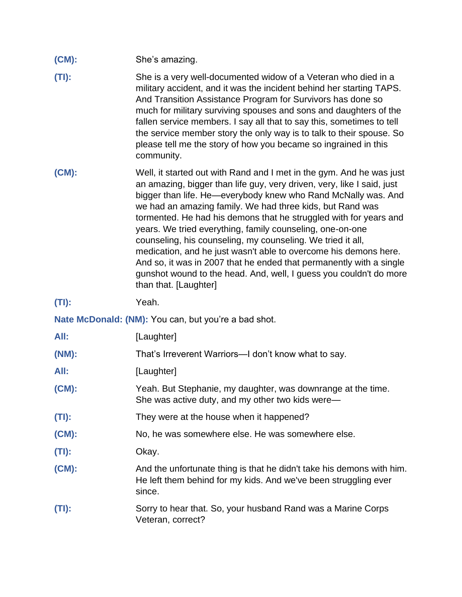- **(CM):** She's amazing.
- **(TI):** She is a very well-documented widow of a Veteran who died in a military accident, and it was the incident behind her starting TAPS. And Transition Assistance Program for Survivors has done so much for military surviving spouses and sons and daughters of the fallen service members. I say all that to say this, sometimes to tell the service member story the only way is to talk to their spouse. So please tell me the story of how you became so ingrained in this community.
- **(CM):** Well, it started out with Rand and I met in the gym. And he was just an amazing, bigger than life guy, very driven, very, like I said, just bigger than life. He—everybody knew who Rand McNally was. And we had an amazing family. We had three kids, but Rand was tormented. He had his demons that he struggled with for years and years. We tried everything, family counseling, one-on-one counseling, his counseling, my counseling. We tried it all, medication, and he just wasn't able to overcome his demons here. And so, it was in 2007 that he ended that permanently with a single gunshot wound to the head. And, well, I guess you couldn't do more than that. [Laughter]

**(TI):** Yeah.

Nate McDonald: (NM): You can, but you're a bad shot.

| All:     | [Laughter]                                                                                                                                         |
|----------|----------------------------------------------------------------------------------------------------------------------------------------------------|
| (NM):    | That's Irreverent Warriors—I don't know what to say.                                                                                               |
| All:     | [Laughter]                                                                                                                                         |
| $(CM)$ : | Yeah. But Stephanie, my daughter, was downrange at the time.<br>She was active duty, and my other two kids were—                                   |
| $(TI)$ : | They were at the house when it happened?                                                                                                           |
| $(CM)$ : | No, he was somewhere else. He was somewhere else.                                                                                                  |
| $(TI)$ : | Okay.                                                                                                                                              |
| $(CM)$ : | And the unfortunate thing is that he didn't take his demons with him.<br>He left them behind for my kids. And we've been struggling ever<br>since. |
| $(TI)$ : | Sorry to hear that. So, your husband Rand was a Marine Corps<br>Veteran, correct?                                                                  |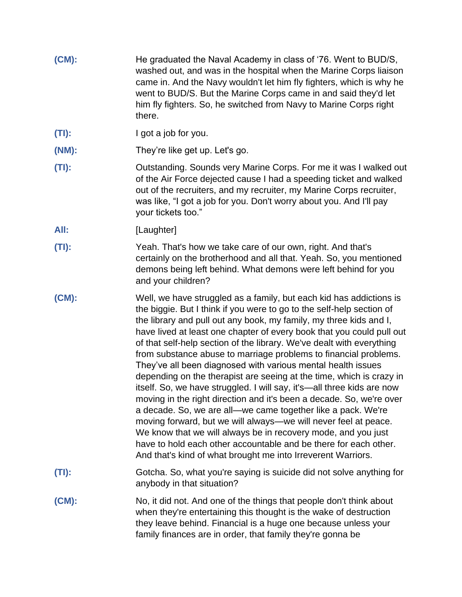- **(CM):** He graduated the Naval Academy in class of '76. Went to BUD/S, washed out, and was in the hospital when the Marine Corps liaison came in. And the Navy wouldn't let him fly fighters, which is why he went to BUD/S. But the Marine Corps came in and said they'd let him fly fighters. So, he switched from Navy to Marine Corps right there.
- **(TI):** I got a job for you.
- **(NM):** They're like get up. Let's go.
- **(TI):** Outstanding. Sounds very Marine Corps. For me it was I walked out of the Air Force dejected cause I had a speeding ticket and walked out of the recruiters, and my recruiter, my Marine Corps recruiter, was like, "I got a job for you. Don't worry about you. And I'll pay your tickets too."
- All: [Laughter]
- **(TI):** Yeah. That's how we take care of our own, right. And that's certainly on the brotherhood and all that. Yeah. So, you mentioned demons being left behind. What demons were left behind for you and your children?
- **(CM):** Well, we have struggled as a family, but each kid has addictions is the biggie. But I think if you were to go to the self-help section of the library and pull out any book, my family, my three kids and I, have lived at least one chapter of every book that you could pull out of that self-help section of the library. We've dealt with everything from substance abuse to marriage problems to financial problems. They've all been diagnosed with various mental health issues depending on the therapist are seeing at the time, which is crazy in itself. So, we have struggled. I will say, it's—all three kids are now moving in the right direction and it's been a decade. So, we're over a decade. So, we are all—we came together like a pack. We're moving forward, but we will always—we will never feel at peace. We know that we will always be in recovery mode, and you just have to hold each other accountable and be there for each other. And that's kind of what brought me into Irreverent Warriors.
- **(TI):** Gotcha. So, what you're saying is suicide did not solve anything for anybody in that situation?
- **(CM):** No, it did not. And one of the things that people don't think about when they're entertaining this thought is the wake of destruction they leave behind. Financial is a huge one because unless your family finances are in order, that family they're gonna be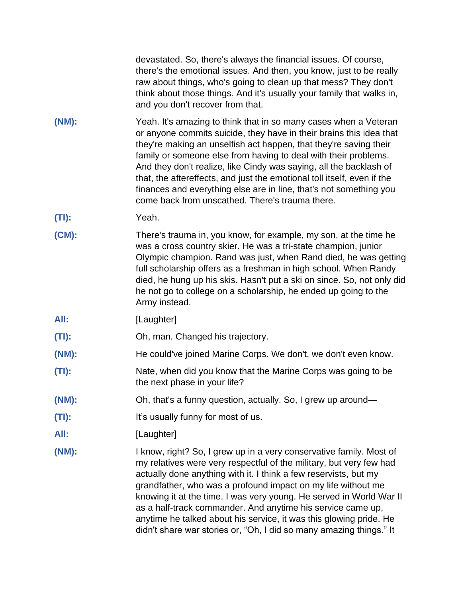devastated. So, there's always the financial issues. Of course, there's the emotional issues. And then, you know, just to be really raw about things, who's going to clean up that mess? They don't think about those things. And it's usually your family that walks in, and you don't recover from that.

- **(NM):** Yeah. It's amazing to think that in so many cases when a Veteran or anyone commits suicide, they have in their brains this idea that they're making an unselfish act happen, that they're saving their family or someone else from having to deal with their problems. And they don't realize, like Cindy was saying, all the backlash of that, the aftereffects, and just the emotional toll itself, even if the finances and everything else are in line, that's not something you come back from unscathed. There's trauma there.
- **(TI):** Yeah.
- **(CM):** There's trauma in, you know, for example, my son, at the time he was a cross country skier. He was a tri-state champion, junior Olympic champion. Rand was just, when Rand died, he was getting full scholarship offers as a freshman in high school. When Randy died, he hung up his skis. Hasn't put a ski on since. So, not only did he not go to college on a scholarship, he ended up going to the Army instead.
- All: [Laughter]
- **(TI):** Oh, man. Changed his trajectory.
- **(NM):** He could've joined Marine Corps. We don't, we don't even know.
- **(TI):** Nate, when did you know that the Marine Corps was going to be the next phase in your life?
- **(NM):** Oh, that's a funny question, actually. So, I grew up around—
- **(TI):** It's usually funny for most of us.
- **All:** [Laughter]
- **(NM):** I know, right? So, I grew up in a very conservative family. Most of my relatives were very respectful of the military, but very few had actually done anything with it. I think a few reservists, but my grandfather, who was a profound impact on my life without me knowing it at the time. I was very young. He served in World War II as a half-track commander. And anytime his service came up, anytime he talked about his service, it was this glowing pride. He didn't share war stories or, "Oh, I did so many amazing things." It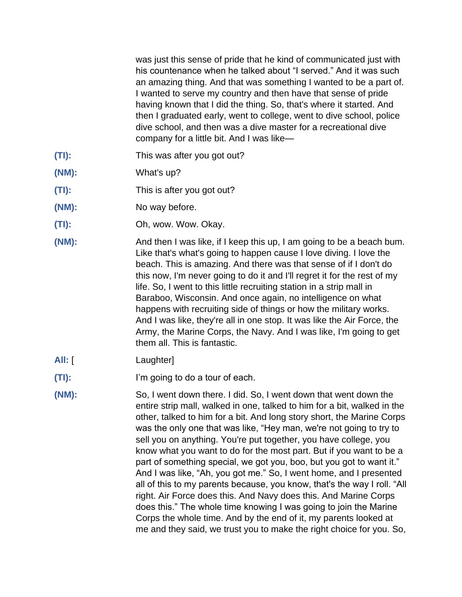was just this sense of pride that he kind of communicated just with his countenance when he talked about "I served." And it was such an amazing thing. And that was something I wanted to be a part of. I wanted to serve my country and then have that sense of pride having known that I did the thing. So, that's where it started. And then I graduated early, went to college, went to dive school, police dive school, and then was a dive master for a recreational dive company for a little bit. And I was like—

- **(TI):** This was after you got out?
- **(NM):** What's up?
- **(TI):** This is after you got out?
- **(NM):** No way before.
- **(TI):** Oh, wow. Wow. Okay.
- **(NM):** And then I was like, if I keep this up, I am going to be a beach bum. Like that's what's going to happen cause I love diving. I love the beach. This is amazing. And there was that sense of if I don't do this now, I'm never going to do it and I'll regret it for the rest of my life. So, I went to this little recruiting station in a strip mall in Baraboo, Wisconsin. And once again, no intelligence on what happens with recruiting side of things or how the military works. And I was like, they're all in one stop. It was like the Air Force, the Army, the Marine Corps, the Navy. And I was like, I'm going to get them all. This is fantastic.
- All: [ Laughter]
- **(TI):** I'm going to do a tour of each.
- **(NM):** So, I went down there. I did. So, I went down that went down the entire strip mall, walked in one, talked to him for a bit, walked in the other, talked to him for a bit. And long story short, the Marine Corps was the only one that was like, "Hey man, we're not going to try to sell you on anything. You're put together, you have college, you know what you want to do for the most part. But if you want to be a part of something special, we got you, boo, but you got to want it." And I was like, "Ah, you got me." So, I went home, and I presented all of this to my parents because, you know, that's the way I roll. "All right. Air Force does this. And Navy does this. And Marine Corps does this." The whole time knowing I was going to join the Marine Corps the whole time. And by the end of it, my parents looked at me and they said, we trust you to make the right choice for you. So,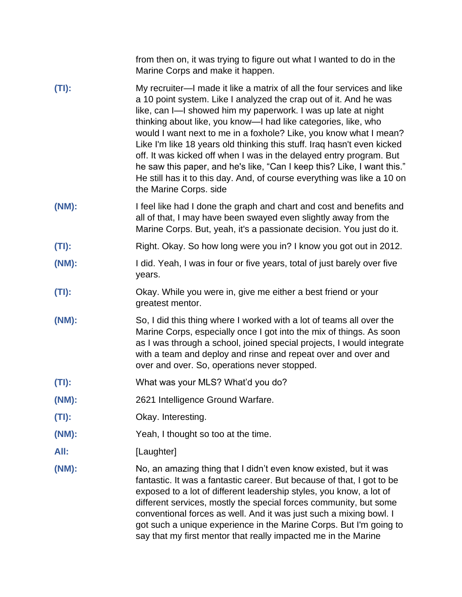|          | from then on, it was trying to figure out what I wanted to do in the<br>Marine Corps and make it happen.                                                                                                                                                                                                                                                                                                                                                                                                                                                                                                                                                                              |
|----------|---------------------------------------------------------------------------------------------------------------------------------------------------------------------------------------------------------------------------------------------------------------------------------------------------------------------------------------------------------------------------------------------------------------------------------------------------------------------------------------------------------------------------------------------------------------------------------------------------------------------------------------------------------------------------------------|
| $(TI)$ : | My recruiter—I made it like a matrix of all the four services and like<br>a 10 point system. Like I analyzed the crap out of it. And he was<br>like, can I-l showed him my paperwork. I was up late at night<br>thinking about like, you know—I had like categories, like, who<br>would I want next to me in a foxhole? Like, you know what I mean?<br>Like I'm like 18 years old thinking this stuff. Iraq hasn't even kicked<br>off. It was kicked off when I was in the delayed entry program. But<br>he saw this paper, and he's like, "Can I keep this? Like, I want this."<br>He still has it to this day. And, of course everything was like a 10 on<br>the Marine Corps. side |
| (NM):    | I feel like had I done the graph and chart and cost and benefits and<br>all of that, I may have been swayed even slightly away from the<br>Marine Corps. But, yeah, it's a passionate decision. You just do it.                                                                                                                                                                                                                                                                                                                                                                                                                                                                       |
| $(TI)$ : | Right. Okay. So how long were you in? I know you got out in 2012.                                                                                                                                                                                                                                                                                                                                                                                                                                                                                                                                                                                                                     |
| (NM):    | I did. Yeah, I was in four or five years, total of just barely over five<br>years.                                                                                                                                                                                                                                                                                                                                                                                                                                                                                                                                                                                                    |
| $(TI)$ : | Okay. While you were in, give me either a best friend or your<br>greatest mentor.                                                                                                                                                                                                                                                                                                                                                                                                                                                                                                                                                                                                     |
| (NM):    | So, I did this thing where I worked with a lot of teams all over the<br>Marine Corps, especially once I got into the mix of things. As soon<br>as I was through a school, joined special projects, I would integrate<br>with a team and deploy and rinse and repeat over and over and<br>over and over. So, operations never stopped.                                                                                                                                                                                                                                                                                                                                                 |
| $(TI)$ : | What was your MLS? What'd you do?                                                                                                                                                                                                                                                                                                                                                                                                                                                                                                                                                                                                                                                     |
| (NM):    | 2621 Intelligence Ground Warfare.                                                                                                                                                                                                                                                                                                                                                                                                                                                                                                                                                                                                                                                     |
| $(TI)$ : | Okay. Interesting.                                                                                                                                                                                                                                                                                                                                                                                                                                                                                                                                                                                                                                                                    |
| (NM):    | Yeah, I thought so too at the time.                                                                                                                                                                                                                                                                                                                                                                                                                                                                                                                                                                                                                                                   |
| All:     | [Laughter]                                                                                                                                                                                                                                                                                                                                                                                                                                                                                                                                                                                                                                                                            |
| (NM):    | No, an amazing thing that I didn't even know existed, but it was<br>fantastic. It was a fantastic career. But because of that, I got to be<br>exposed to a lot of different leadership styles, you know, a lot of<br>different services, mostly the special forces community, but some<br>conventional forces as well. And it was just such a mixing bowl. I<br>got such a unique experience in the Marine Corps. But I'm going to<br>say that my first mentor that really impacted me in the Marine                                                                                                                                                                                  |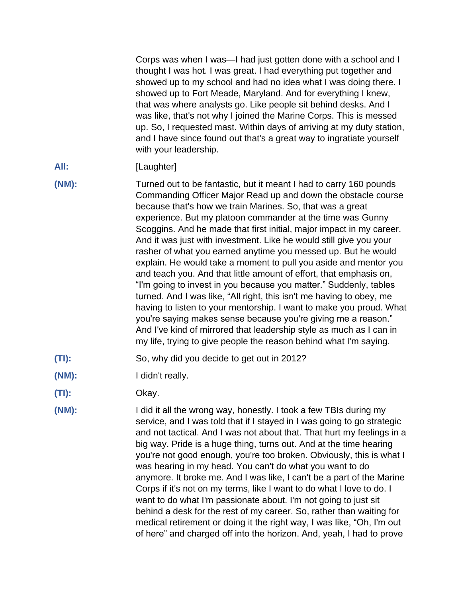Corps was when I was—I had just gotten done with a school and I thought I was hot. I was great. I had everything put together and showed up to my school and had no idea what I was doing there. I showed up to Fort Meade, Maryland. And for everything I knew, that was where analysts go. Like people sit behind desks. And I was like, that's not why I joined the Marine Corps. This is messed up. So, I requested mast. Within days of arriving at my duty station, and I have since found out that's a great way to ingratiate yourself with your leadership.

- All: [Laughter]
- **(NM):** Turned out to be fantastic, but it meant I had to carry 160 pounds Commanding Officer Major Read up and down the obstacle course because that's how we train Marines. So, that was a great experience. But my platoon commander at the time was Gunny Scoggins. And he made that first initial, major impact in my career. And it was just with investment. Like he would still give you your rasher of what you earned anytime you messed up. But he would explain. He would take a moment to pull you aside and mentor you and teach you. And that little amount of effort, that emphasis on, "I'm going to invest in you because you matter." Suddenly, tables turned. And I was like, "All right, this isn't me having to obey, me having to listen to your mentorship. I want to make you proud. What you're saying makes sense because you're giving me a reason." And I've kind of mirrored that leadership style as much as I can in my life, trying to give people the reason behind what I'm saying.
- **(TI):** So, why did you decide to get out in 2012?
- **(NM):** I didn't really.
- **(TI):** Okay.
- 

**(NM):** I did it all the wrong way, honestly. I took a few TBIs during my service, and I was told that if I stayed in I was going to go strategic and not tactical. And I was not about that. That hurt my feelings in a big way. Pride is a huge thing, turns out. And at the time hearing you're not good enough, you're too broken. Obviously, this is what I was hearing in my head. You can't do what you want to do anymore. It broke me. And I was like, I can't be a part of the Marine Corps if it's not on my terms, like I want to do what I love to do. I want to do what I'm passionate about. I'm not going to just sit behind a desk for the rest of my career. So, rather than waiting for medical retirement or doing it the right way, I was like, "Oh, I'm out of here" and charged off into the horizon. And, yeah, I had to prove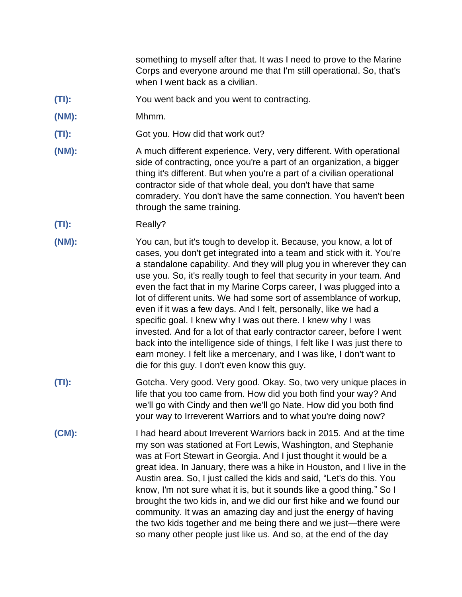something to myself after that. It was I need to prove to the Marine Corps and everyone around me that I'm still operational. So, that's when I went back as a civilian.

- **(TI):** You went back and you went to contracting.
- **(NM):** Mhmm.
- **(TI):** Got you. How did that work out?
- **(NM):** A much different experience. Very, very different. With operational side of contracting, once you're a part of an organization, a bigger thing it's different. But when you're a part of a civilian operational contractor side of that whole deal, you don't have that same comradery. You don't have the same connection. You haven't been through the same training.
- **(TI):** Really?
- **(NM):** You can, but it's tough to develop it. Because, you know, a lot of cases, you don't get integrated into a team and stick with it. You're a standalone capability. And they will plug you in wherever they can use you. So, it's really tough to feel that security in your team. And even the fact that in my Marine Corps career, I was plugged into a lot of different units. We had some sort of assemblance of workup, even if it was a few days. And I felt, personally, like we had a specific goal. I knew why I was out there. I knew why I was invested. And for a lot of that early contractor career, before I went back into the intelligence side of things, I felt like I was just there to earn money. I felt like a mercenary, and I was like, I don't want to die for this guy. I don't even know this guy.
- **(TI):** Gotcha. Very good. Very good. Okay. So, two very unique places in life that you too came from. How did you both find your way? And we'll go with Cindy and then we'll go Nate. How did you both find your way to Irreverent Warriors and to what you're doing now?
- **(CM):** I had heard about Irreverent Warriors back in 2015. And at the time my son was stationed at Fort Lewis, Washington, and Stephanie was at Fort Stewart in Georgia. And I just thought it would be a great idea. In January, there was a hike in Houston, and I live in the Austin area. So, I just called the kids and said, "Let's do this. You know, I'm not sure what it is, but it sounds like a good thing." So I brought the two kids in, and we did our first hike and we found our community. It was an amazing day and just the energy of having the two kids together and me being there and we just—there were so many other people just like us. And so, at the end of the day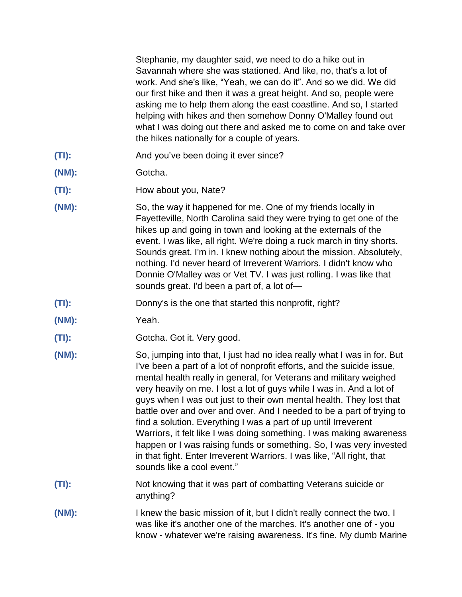Stephanie, my daughter said, we need to do a hike out in Savannah where she was stationed. And like, no, that's a lot of work. And she's like, "Yeah, we can do it". And so we did. We did our first hike and then it was a great height. And so, people were asking me to help them along the east coastline. And so, I started helping with hikes and then somehow Donny O'Malley found out what I was doing out there and asked me to come on and take over the hikes nationally for a couple of years.

- **(TI):** And you've been doing it ever since?
- **(NM):** Gotcha.
- **(TI):** How about you, Nate?
- **(NM):** So, the way it happened for me. One of my friends locally in Fayetteville, North Carolina said they were trying to get one of the hikes up and going in town and looking at the externals of the event. I was like, all right. We're doing a ruck march in tiny shorts. Sounds great. I'm in. I knew nothing about the mission. Absolutely, nothing. I'd never heard of Irreverent Warriors. I didn't know who Donnie O'Malley was or Vet TV. I was just rolling. I was like that sounds great. I'd been a part of, a lot of—
- **(TI):** Donny's is the one that started this nonprofit, right?
- **(NM):** Yeah.
- **(TI):** Gotcha. Got it. Very good.
- **(NM):** So, jumping into that, I just had no idea really what I was in for. But I've been a part of a lot of nonprofit efforts, and the suicide issue, mental health really in general, for Veterans and military weighed very heavily on me. I lost a lot of guys while I was in. And a lot of guys when I was out just to their own mental health. They lost that battle over and over and over. And I needed to be a part of trying to find a solution. Everything I was a part of up until Irreverent Warriors, it felt like I was doing something. I was making awareness happen or I was raising funds or something. So, I was very invested in that fight. Enter Irreverent Warriors. I was like, "All right, that sounds like a cool event."
- **(TI):** Not knowing that it was part of combatting Veterans suicide or anything?
- **(NM):** I knew the basic mission of it, but I didn't really connect the two. I was like it's another one of the marches. It's another one of - you know - whatever we're raising awareness. It's fine. My dumb Marine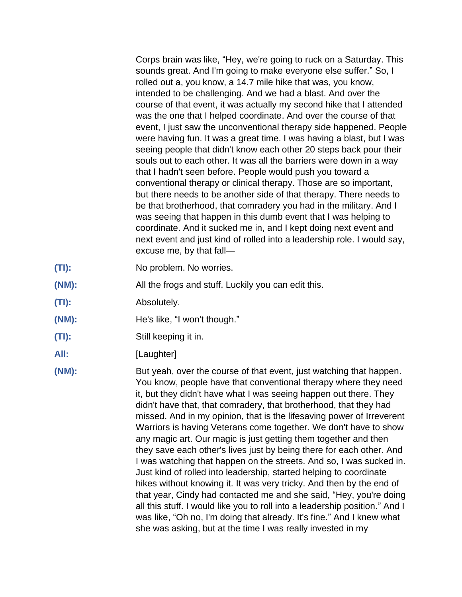Corps brain was like, "Hey, we're going to ruck on a Saturday. This sounds great. And I'm going to make everyone else suffer." So, I rolled out a, you know, a 14.7 mile hike that was, you know, intended to be challenging. And we had a blast. And over the course of that event, it was actually my second hike that I attended was the one that I helped coordinate. And over the course of that event, I just saw the unconventional therapy side happened. People were having fun. It was a great time. I was having a blast, but I was seeing people that didn't know each other 20 steps back pour their souls out to each other. It was all the barriers were down in a way that I hadn't seen before. People would push you toward a conventional therapy or clinical therapy. Those are so important, but there needs to be another side of that therapy. There needs to be that brotherhood, that comradery you had in the military. And I was seeing that happen in this dumb event that I was helping to coordinate. And it sucked me in, and I kept doing next event and next event and just kind of rolled into a leadership role. I would say, excuse me, by that fall—

- **(TI):** No problem. No worries.
- **(NM):** All the frogs and stuff. Luckily you can edit this.
- **(TI):** Absolutely.
- **(NM): He's like, "I won't though."**
- **(TI):** Still keeping it in.
- All: [Laughter]
- **(NM):** But yeah, over the course of that event, just watching that happen. You know, people have that conventional therapy where they need it, but they didn't have what I was seeing happen out there. They didn't have that, that comradery, that brotherhood, that they had missed. And in my opinion, that is the lifesaving power of Irreverent Warriors is having Veterans come together. We don't have to show any magic art. Our magic is just getting them together and then they save each other's lives just by being there for each other. And I was watching that happen on the streets. And so, I was sucked in. Just kind of rolled into leadership, started helping to coordinate hikes without knowing it. It was very tricky. And then by the end of that year, Cindy had contacted me and she said, "Hey, you're doing all this stuff. I would like you to roll into a leadership position." And I was like, "Oh no, I'm doing that already. It's fine." And I knew what she was asking, but at the time I was really invested in my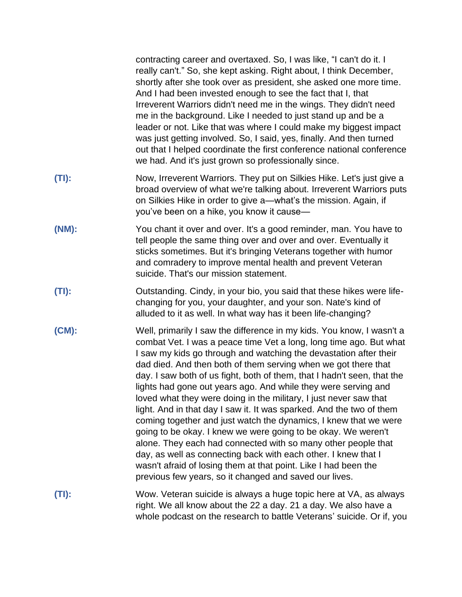|          | contracting career and overtaxed. So, I was like, "I can't do it. I<br>really can't." So, she kept asking. Right about, I think December,<br>shortly after she took over as president, she asked one more time.<br>And I had been invested enough to see the fact that I, that<br>Irreverent Warriors didn't need me in the wings. They didn't need<br>me in the background. Like I needed to just stand up and be a<br>leader or not. Like that was where I could make my biggest impact<br>was just getting involved. So, I said, yes, finally. And then turned<br>out that I helped coordinate the first conference national conference<br>we had. And it's just grown so professionally since.                                                                                                                                                                                                                                                                                |
|----------|-----------------------------------------------------------------------------------------------------------------------------------------------------------------------------------------------------------------------------------------------------------------------------------------------------------------------------------------------------------------------------------------------------------------------------------------------------------------------------------------------------------------------------------------------------------------------------------------------------------------------------------------------------------------------------------------------------------------------------------------------------------------------------------------------------------------------------------------------------------------------------------------------------------------------------------------------------------------------------------|
| $(TI)$ : | Now, Irreverent Warriors. They put on Silkies Hike. Let's just give a<br>broad overview of what we're talking about. Irreverent Warriors puts<br>on Silkies Hike in order to give a-what's the mission. Again, if<br>you've been on a hike, you know it cause-                                                                                                                                                                                                                                                                                                                                                                                                                                                                                                                                                                                                                                                                                                                    |
| (NM):    | You chant it over and over. It's a good reminder, man. You have to<br>tell people the same thing over and over and over. Eventually it<br>sticks sometimes. But it's bringing Veterans together with humor<br>and comradery to improve mental health and prevent Veteran<br>suicide. That's our mission statement.                                                                                                                                                                                                                                                                                                                                                                                                                                                                                                                                                                                                                                                                |
| $(TI)$ : | Outstanding. Cindy, in your bio, you said that these hikes were life-<br>changing for you, your daughter, and your son. Nate's kind of<br>alluded to it as well. In what way has it been life-changing?                                                                                                                                                                                                                                                                                                                                                                                                                                                                                                                                                                                                                                                                                                                                                                           |
| $(CM)$ : | Well, primarily I saw the difference in my kids. You know, I wasn't a<br>combat Vet. I was a peace time Vet a long, long time ago. But what<br>I saw my kids go through and watching the devastation after their<br>dad died. And then both of them serving when we got there that<br>day. I saw both of us fight, both of them, that I hadn't seen, that the<br>lights had gone out years ago. And while they were serving and<br>loved what they were doing in the military, I just never saw that<br>light. And in that day I saw it. It was sparked. And the two of them<br>coming together and just watch the dynamics, I knew that we were<br>going to be okay. I knew we were going to be okay. We weren't<br>alone. They each had connected with so many other people that<br>day, as well as connecting back with each other. I knew that I<br>wasn't afraid of losing them at that point. Like I had been the<br>previous few years, so it changed and saved our lives. |
| $(TI)$ : | Wow. Veteran suicide is always a huge topic here at VA, as always<br>right. We all know about the 22 a day. 21 a day. We also have a<br>whole podcast on the research to battle Veterans' suicide. Or if, you                                                                                                                                                                                                                                                                                                                                                                                                                                                                                                                                                                                                                                                                                                                                                                     |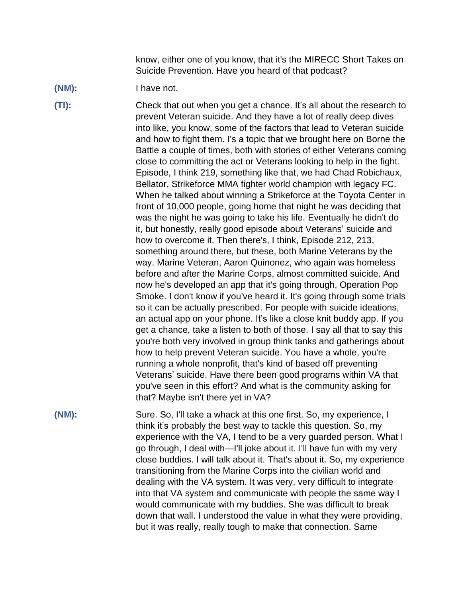know, either one of you know, that it's the MIRECC Short Takes on Suicide Prevention. Have you heard of that podcast?

**(NM):** I have not.

**(TI):** Check that out when you get a chance. It's all about the research to prevent Veteran suicide. And they have a lot of really deep dives into like, you know, some of the factors that lead to Veteran suicide and how to fight them. I's a topic that we brought here on Borne the Battle a couple of times, both with stories of either Veterans coming close to committing the act or Veterans looking to help in the fight. Episode, I think 219, something like that, we had Chad Robichaux, Bellator, Strikeforce MMA fighter world champion with legacy FC. When he talked about winning a Strikeforce at the Toyota Center in front of 10,000 people, going home that night he was deciding that was the night he was going to take his life. Eventually he didn't do it, but honestly, really good episode about Veterans' suicide and how to overcome it. Then there's, I think, Episode 212, 213, something around there, but these, both Marine Veterans by the way. Marine Veteran, Aaron Quinonez, who again was homeless before and after the Marine Corps, almost committed suicide. And now he's developed an app that it's going through, Operation Pop Smoke. I don't know if you've heard it. It's going through some trials so it can be actually prescribed. For people with suicide ideations, an actual app on your phone. It's like a close knit buddy app. If you get a chance, take a listen to both of those. I say all that to say this you're both very involved in group think tanks and gatherings about how to help prevent Veteran suicide. You have a whole, you're running a whole nonprofit, that's kind of based off preventing Veterans' suicide. Have there been good programs within VA that you've seen in this effort? And what is the community asking for that? Maybe isn't there yet in VA?

**(NM):** Sure. So, I'll take a whack at this one first. So, my experience, I think it's probably the best way to tackle this question. So, my experience with the VA, I tend to be a very guarded person. What I go through, I deal with—I'll joke about it. I'll have fun with my very close buddies. I will talk about it. That's about it. So, my experience transitioning from the Marine Corps into the civilian world and dealing with the VA system. It was very, very difficult to integrate into that VA system and communicate with people the same way I would communicate with my buddies. She was difficult to break down that wall. I understood the value in what they were providing, but it was really, really tough to make that connection. Same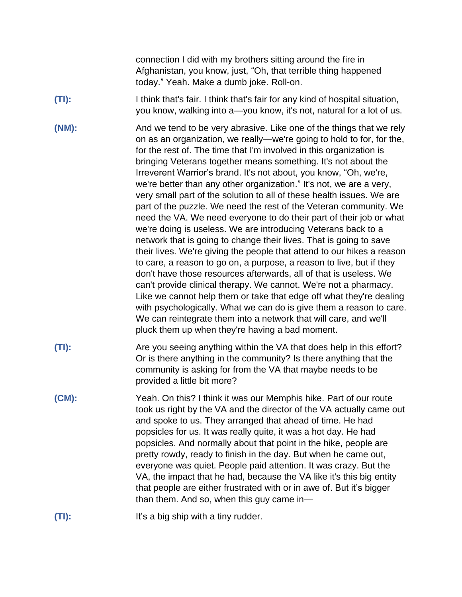connection I did with my brothers sitting around the fire in Afghanistan, you know, just, "Oh, that terrible thing happened today." Yeah. Make a dumb joke. Roll-on.

- **(TI):** I think that's fair. I think that's fair for any kind of hospital situation, you know, walking into a—you know, it's not, natural for a lot of us.
- **(NM):** And we tend to be very abrasive. Like one of the things that we rely on as an organization, we really—we're going to hold to for, for the, for the rest of. The time that I'm involved in this organization is bringing Veterans together means something. It's not about the Irreverent Warrior's brand. It's not about, you know, "Oh, we're, we're better than any other organization." It's not, we are a very, very small part of the solution to all of these health issues. We are part of the puzzle. We need the rest of the Veteran community. We need the VA. We need everyone to do their part of their job or what we're doing is useless. We are introducing Veterans back to a network that is going to change their lives. That is going to save their lives. We're giving the people that attend to our hikes a reason to care, a reason to go on, a purpose, a reason to live, but if they don't have those resources afterwards, all of that is useless. We can't provide clinical therapy. We cannot. We're not a pharmacy. Like we cannot help them or take that edge off what they're dealing with psychologically. What we can do is give them a reason to care. We can reintegrate them into a network that will care, and we'll pluck them up when they're having a bad moment.
- **(TI):** Are you seeing anything within the VA that does help in this effort? Or is there anything in the community? Is there anything that the community is asking for from the VA that maybe needs to be provided a little bit more?
- **(CM):** Yeah. On this? I think it was our Memphis hike. Part of our route took us right by the VA and the director of the VA actually came out and spoke to us. They arranged that ahead of time. He had popsicles for us. It was really quite, it was a hot day. He had popsicles. And normally about that point in the hike, people are pretty rowdy, ready to finish in the day. But when he came out, everyone was quiet. People paid attention. It was crazy. But the VA, the impact that he had, because the VA like it's this big entity that people are either frustrated with or in awe of. But it's bigger than them. And so, when this guy came in—
- **(TI):** It's a big ship with a tiny rudder.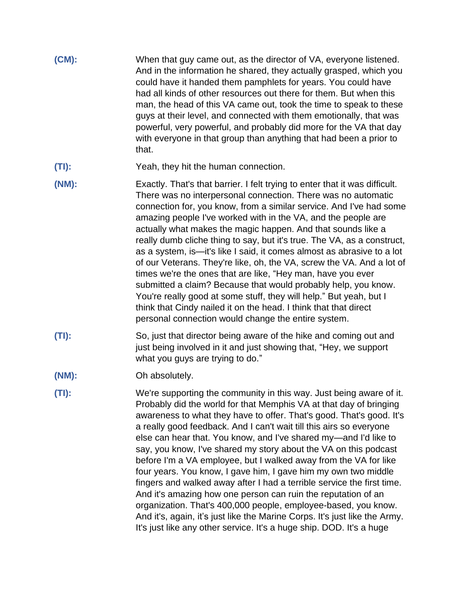| $(CM)$ : | When that guy came out, as the director of VA, everyone listened.<br>And in the information he shared, they actually grasped, which you<br>could have it handed them pamphlets for years. You could have                                                                                                                                                            |
|----------|---------------------------------------------------------------------------------------------------------------------------------------------------------------------------------------------------------------------------------------------------------------------------------------------------------------------------------------------------------------------|
|          | had all kinds of other resources out there for them. But when this<br>man, the head of this VA came out, took the time to speak to these<br>guys at their level, and connected with them emotionally, that was<br>powerful, very powerful, and probably did more for the VA that day<br>with everyone in that group than anything that had been a prior to<br>that. |

- **(TI):** Yeah, they hit the human connection.
- **(NM):** Exactly. That's that barrier. I felt trying to enter that it was difficult. There was no interpersonal connection. There was no automatic connection for, you know, from a similar service. And I've had some amazing people I've worked with in the VA, and the people are actually what makes the magic happen. And that sounds like a really dumb cliche thing to say, but it's true. The VA, as a construct, as a system, is—it's like I said, it comes almost as abrasive to a lot of our Veterans. They're like, oh, the VA, screw the VA. And a lot of times we're the ones that are like, "Hey man, have you ever submitted a claim? Because that would probably help, you know. You're really good at some stuff, they will help." But yeah, but I think that Cindy nailed it on the head. I think that that direct personal connection would change the entire system.
- **(TI):** So, just that director being aware of the hike and coming out and just being involved in it and just showing that, "Hey, we support what you guys are trying to do."
- **(NM):** Oh absolutely.
- **(TI):** We're supporting the community in this way. Just being aware of it. Probably did the world for that Memphis VA at that day of bringing awareness to what they have to offer. That's good. That's good. It's a really good feedback. And I can't wait till this airs so everyone else can hear that. You know, and I've shared my—and I'd like to say, you know, I've shared my story about the VA on this podcast before I'm a VA employee, but I walked away from the VA for like four years. You know, I gave him, I gave him my own two middle fingers and walked away after I had a terrible service the first time. And it's amazing how one person can ruin the reputation of an organization. That's 400,000 people, employee-based, you know. And it's, again, it's just like the Marine Corps. It's just like the Army. It's just like any other service. It's a huge ship. DOD. It's a huge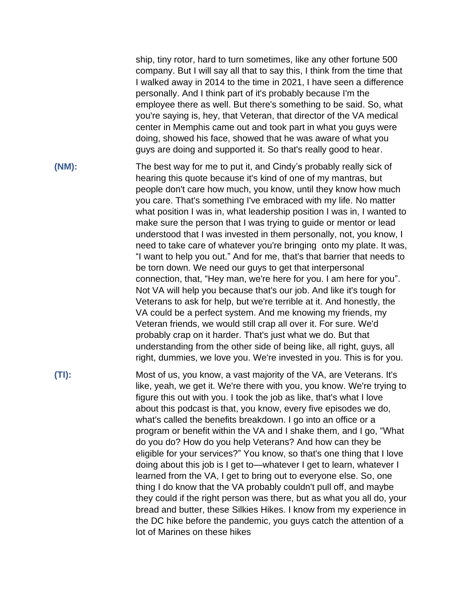ship, tiny rotor, hard to turn sometimes, like any other fortune 500 company. But I will say all that to say this, I think from the time that I walked away in 2014 to the time in 2021, I have seen a difference personally. And I think part of it's probably because I'm the employee there as well. But there's something to be said. So, what you're saying is, hey, that Veteran, that director of the VA medical center in Memphis came out and took part in what you guys were doing, showed his face, showed that he was aware of what you guys are doing and supported it. So that's really good to hear.

**(NM):** The best way for me to put it, and Cindy's probably really sick of hearing this quote because it's kind of one of my mantras, but people don't care how much, you know, until they know how much you care. That's something I've embraced with my life. No matter what position I was in, what leadership position I was in, I wanted to make sure the person that I was trying to guide or mentor or lead understood that I was invested in them personally, not, you know, I need to take care of whatever you're bringing onto my plate. It was, "I want to help you out." And for me, that's that barrier that needs to be torn down. We need our guys to get that interpersonal connection, that, "Hey man, we're here for you. I am here for you". Not VA will help you because that's our job. And like it's tough for Veterans to ask for help, but we're terrible at it. And honestly, the VA could be a perfect system. And me knowing my friends, my Veteran friends, we would still crap all over it. For sure. We'd probably crap on it harder. That's just what we do. But that understanding from the other side of being like, all right, guys, all right, dummies, we love you. We're invested in you. This is for you.

**(TI):** Most of us, you know, a vast majority of the VA, are Veterans. It's like, yeah, we get it. We're there with you, you know. We're trying to figure this out with you. I took the job as like, that's what I love about this podcast is that, you know, every five episodes we do, what's called the benefits breakdown. I go into an office or a program or benefit within the VA and I shake them, and I go, "What do you do? How do you help Veterans? And how can they be eligible for your services?" You know, so that's one thing that I love doing about this job is I get to—whatever I get to learn, whatever I learned from the VA, I get to bring out to everyone else. So, one thing I do know that the VA probably couldn't pull off, and maybe they could if the right person was there, but as what you all do, your bread and butter, these Silkies Hikes. I know from my experience in the DC hike before the pandemic, you guys catch the attention of a lot of Marines on these hikes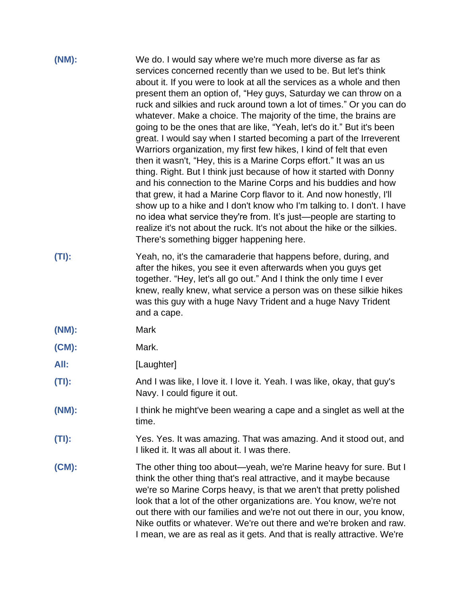| (NM):    | We do. I would say where we're much more diverse as far as<br>services concerned recently than we used to be. But let's think<br>about it. If you were to look at all the services as a whole and then<br>present them an option of, "Hey guys, Saturday we can throw on a<br>ruck and silkies and ruck around town a lot of times." Or you can do<br>whatever. Make a choice. The majority of the time, the brains are<br>going to be the ones that are like, "Yeah, let's do it." But it's been<br>great. I would say when I started becoming a part of the Irreverent<br>Warriors organization, my first few hikes, I kind of felt that even<br>then it wasn't, "Hey, this is a Marine Corps effort." It was an us<br>thing. Right. But I think just because of how it started with Donny<br>and his connection to the Marine Corps and his buddies and how<br>that grew, it had a Marine Corp flavor to it. And now honestly, I'll<br>show up to a hike and I don't know who I'm talking to. I don't. I have<br>no idea what service they're from. It's just—people are starting to<br>realize it's not about the ruck. It's not about the hike or the silkies.<br>There's something bigger happening here. |
|----------|-----------------------------------------------------------------------------------------------------------------------------------------------------------------------------------------------------------------------------------------------------------------------------------------------------------------------------------------------------------------------------------------------------------------------------------------------------------------------------------------------------------------------------------------------------------------------------------------------------------------------------------------------------------------------------------------------------------------------------------------------------------------------------------------------------------------------------------------------------------------------------------------------------------------------------------------------------------------------------------------------------------------------------------------------------------------------------------------------------------------------------------------------------------------------------------------------------------------|
| (TI):    | Yeah, no, it's the camaraderie that happens before, during, and<br>after the hikes, you see it even afterwards when you guys get<br>together. "Hey, let's all go out." And I think the only time I ever<br>knew, really knew, what service a person was on these silkie hikes<br>was this guy with a huge Navy Trident and a huge Navy Trident<br>and a cape.                                                                                                                                                                                                                                                                                                                                                                                                                                                                                                                                                                                                                                                                                                                                                                                                                                                   |
| (NM):    | Mark                                                                                                                                                                                                                                                                                                                                                                                                                                                                                                                                                                                                                                                                                                                                                                                                                                                                                                                                                                                                                                                                                                                                                                                                            |
| $(CM)$ : | Mark.                                                                                                                                                                                                                                                                                                                                                                                                                                                                                                                                                                                                                                                                                                                                                                                                                                                                                                                                                                                                                                                                                                                                                                                                           |
| All:     | [Laughter]                                                                                                                                                                                                                                                                                                                                                                                                                                                                                                                                                                                                                                                                                                                                                                                                                                                                                                                                                                                                                                                                                                                                                                                                      |
| (TI):    | And I was like, I love it. I love it. Yeah. I was like, okay, that guy's<br>Navy. I could figure it out.                                                                                                                                                                                                                                                                                                                                                                                                                                                                                                                                                                                                                                                                                                                                                                                                                                                                                                                                                                                                                                                                                                        |
| (NM):    | I think he might've been wearing a cape and a singlet as well at the<br>time.                                                                                                                                                                                                                                                                                                                                                                                                                                                                                                                                                                                                                                                                                                                                                                                                                                                                                                                                                                                                                                                                                                                                   |
| $(TI)$ : | Yes. Yes. It was amazing. That was amazing. And it stood out, and<br>I liked it. It was all about it. I was there.                                                                                                                                                                                                                                                                                                                                                                                                                                                                                                                                                                                                                                                                                                                                                                                                                                                                                                                                                                                                                                                                                              |
| $(CM)$ : | The other thing too about—yeah, we're Marine heavy for sure. But I<br>think the other thing that's real attractive, and it maybe because<br>we're so Marine Corps heavy, is that we aren't that pretty polished<br>look that a lot of the other organizations are. You know, we're not<br>out there with our families and we're not out there in our, you know,<br>Nike outfits or whatever. We're out there and we're broken and raw.<br>I mean, we are as real as it gets. And that is really attractive. We're                                                                                                                                                                                                                                                                                                                                                                                                                                                                                                                                                                                                                                                                                               |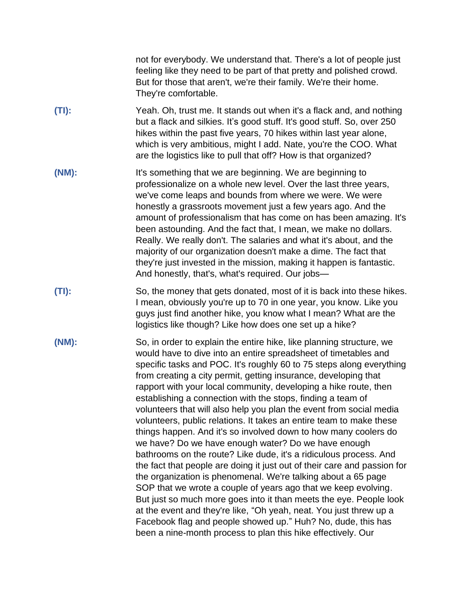not for everybody. We understand that. There's a lot of people just feeling like they need to be part of that pretty and polished crowd. But for those that aren't, we're their family. We're their home. They're comfortable.

- **(TI):** Yeah. Oh, trust me. It stands out when it's a flack and, and nothing but a flack and silkies. It's good stuff. It's good stuff. So, over 250 hikes within the past five years, 70 hikes within last year alone, which is very ambitious, might I add. Nate, you're the COO. What are the logistics like to pull that off? How is that organized?
- **(NM):** It's something that we are beginning. We are beginning to professionalize on a whole new level. Over the last three years, we've come leaps and bounds from where we were. We were honestly a grassroots movement just a few years ago. And the amount of professionalism that has come on has been amazing. It's been astounding. And the fact that, I mean, we make no dollars. Really. We really don't. The salaries and what it's about, and the majority of our organization doesn't make a dime. The fact that they're just invested in the mission, making it happen is fantastic. And honestly, that's, what's required. Our jobs—
- **(TI):** So, the money that gets donated, most of it is back into these hikes. I mean, obviously you're up to 70 in one year, you know. Like you guys just find another hike, you know what I mean? What are the logistics like though? Like how does one set up a hike?
- **(NM):** So, in order to explain the entire hike, like planning structure, we would have to dive into an entire spreadsheet of timetables and specific tasks and POC. It's roughly 60 to 75 steps along everything from creating a city permit, getting insurance, developing that rapport with your local community, developing a hike route, then establishing a connection with the stops, finding a team of volunteers that will also help you plan the event from social media volunteers, public relations. It takes an entire team to make these things happen. And it's so involved down to how many coolers do we have? Do we have enough water? Do we have enough bathrooms on the route? Like dude, it's a ridiculous process. And the fact that people are doing it just out of their care and passion for the organization is phenomenal. We're talking about a 65 page SOP that we wrote a couple of years ago that we keep evolving. But just so much more goes into it than meets the eye. People look at the event and they're like, "Oh yeah, neat. You just threw up a Facebook flag and people showed up." Huh? No, dude, this has been a nine-month process to plan this hike effectively. Our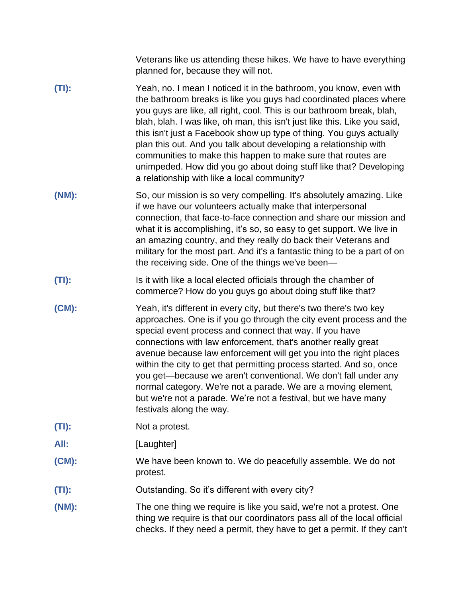| Veterans like us attending these hikes. We have to have everything |  |
|--------------------------------------------------------------------|--|
| planned for, because they will not.                                |  |

- **(TI):** Yeah, no. I mean I noticed it in the bathroom, you know, even with the bathroom breaks is like you guys had coordinated places where you guys are like, all right, cool. This is our bathroom break, blah, blah, blah. I was like, oh man, this isn't just like this. Like you said, this isn't just a Facebook show up type of thing. You guys actually plan this out. And you talk about developing a relationship with communities to make this happen to make sure that routes are unimpeded. How did you go about doing stuff like that? Developing a relationship with like a local community?
- **(NM):** So, our mission is so very compelling. It's absolutely amazing. Like if we have our volunteers actually make that interpersonal connection, that face-to-face connection and share our mission and what it is accomplishing, it's so, so easy to get support. We live in an amazing country, and they really do back their Veterans and military for the most part. And it's a fantastic thing to be a part of on the receiving side. One of the things we've been—
- **(TI):** Is it with like a local elected officials through the chamber of commerce? How do you guys go about doing stuff like that?
- **(CM):** Yeah, it's different in every city, but there's two there's two key approaches. One is if you go through the city event process and the special event process and connect that way. If you have connections with law enforcement, that's another really great avenue because law enforcement will get you into the right places within the city to get that permitting process started. And so, once you get—because we aren't conventional. We don't fall under any normal category. We're not a parade. We are a moving element, but we're not a parade. We're not a festival, but we have many festivals along the way.
- **(TI):** Not a protest.
- **All:** [Laughter]
- **(CM):** We have been known to. We do peacefully assemble. We do not protest.
- **(TI):** Outstanding. So it's different with every city?
- **(NM):** The one thing we require is like you said, we're not a protest. One thing we require is that our coordinators pass all of the local official checks. If they need a permit, they have to get a permit. If they can't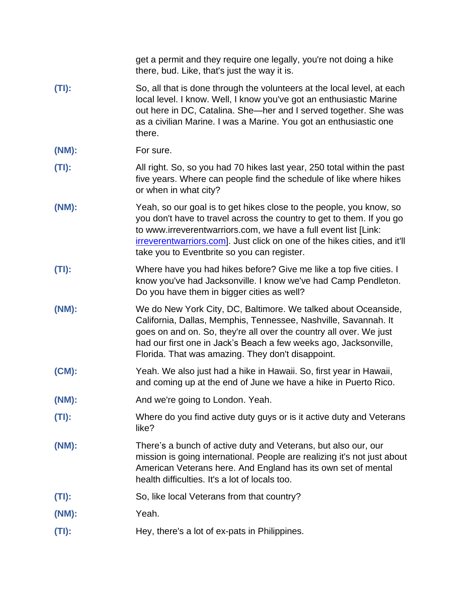|          | get a permit and they require one legally, you're not doing a hike<br>there, bud. Like, that's just the way it is.                                                                                                                                                                                                                          |
|----------|---------------------------------------------------------------------------------------------------------------------------------------------------------------------------------------------------------------------------------------------------------------------------------------------------------------------------------------------|
| $(TI)$ : | So, all that is done through the volunteers at the local level, at each<br>local level. I know. Well, I know you've got an enthusiastic Marine<br>out here in DC, Catalina. She-her and I served together. She was<br>as a civilian Marine. I was a Marine. You got an enthusiastic one<br>there.                                           |
| (NM):    | For sure.                                                                                                                                                                                                                                                                                                                                   |
| (TI):    | All right. So, so you had 70 hikes last year, 250 total within the past<br>five years. Where can people find the schedule of like where hikes<br>or when in what city?                                                                                                                                                                      |
| (NM):    | Yeah, so our goal is to get hikes close to the people, you know, so<br>you don't have to travel across the country to get to them. If you go<br>to www.irreverentwarriors.com, we have a full event list [Link:<br>irreverentwarriors.com]. Just click on one of the hikes cities, and it'll<br>take you to Eventbrite so you can register. |
| (TI):    | Where have you had hikes before? Give me like a top five cities. I<br>know you've had Jacksonville. I know we've had Camp Pendleton.<br>Do you have them in bigger cities as well?                                                                                                                                                          |
| (NM):    | We do New York City, DC, Baltimore. We talked about Oceanside,<br>California, Dallas, Memphis, Tennessee, Nashville, Savannah. It<br>goes on and on. So, they're all over the country all over. We just<br>had our first one in Jack's Beach a few weeks ago, Jacksonville,<br>Florida. That was amazing. They don't disappoint.            |
| $(CM)$ : | Yeah. We also just had a hike in Hawaii. So, first year in Hawaii,<br>and coming up at the end of June we have a hike in Puerto Rico.                                                                                                                                                                                                       |
| (NM):    | And we're going to London. Yeah.                                                                                                                                                                                                                                                                                                            |
| $(TI)$ : | Where do you find active duty guys or is it active duty and Veterans<br>like?                                                                                                                                                                                                                                                               |
| (NM):    | There's a bunch of active duty and Veterans, but also our, our<br>mission is going international. People are realizing it's not just about<br>American Veterans here. And England has its own set of mental<br>health difficulties. It's a lot of locals too.                                                                               |
| $(TI)$ : | So, like local Veterans from that country?                                                                                                                                                                                                                                                                                                  |
| (NM):    | Yeah.                                                                                                                                                                                                                                                                                                                                       |
| $(TI)$ : | Hey, there's a lot of ex-pats in Philippines.                                                                                                                                                                                                                                                                                               |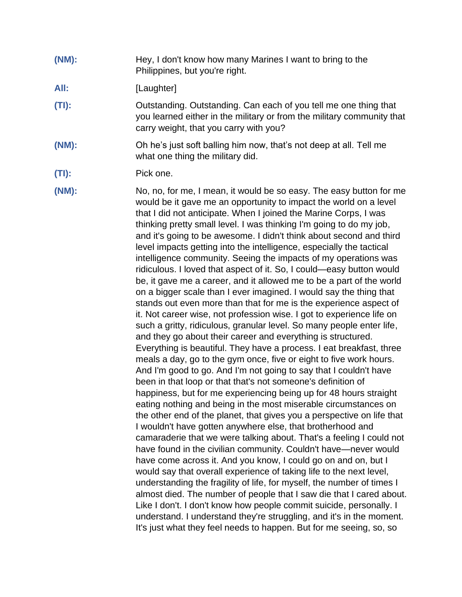**(NM):** Hey, I don't know how many Marines I want to bring to the Philippines, but you're right.

#### All: [Laughter]

- **(TI):** Outstanding. Outstanding. Can each of you tell me one thing that you learned either in the military or from the military community that carry weight, that you carry with you?
- **(NM):** Oh he's just soft balling him now, that's not deep at all. Tell me what one thing the military did.
- **(TI):** Pick one.
- **(NM):** No, no, for me, I mean, it would be so easy. The easy button for me would be it gave me an opportunity to impact the world on a level that I did not anticipate. When I joined the Marine Corps, I was thinking pretty small level. I was thinking I'm going to do my job, and it's going to be awesome. I didn't think about second and third level impacts getting into the intelligence, especially the tactical intelligence community. Seeing the impacts of my operations was ridiculous. I loved that aspect of it. So, I could—easy button would be, it gave me a career, and it allowed me to be a part of the world on a bigger scale than I ever imagined. I would say the thing that stands out even more than that for me is the experience aspect of it. Not career wise, not profession wise. I got to experience life on such a gritty, ridiculous, granular level. So many people enter life, and they go about their career and everything is structured. Everything is beautiful. They have a process. I eat breakfast, three meals a day, go to the gym once, five or eight to five work hours. And I'm good to go. And I'm not going to say that I couldn't have been in that loop or that that's not someone's definition of happiness, but for me experiencing being up for 48 hours straight eating nothing and being in the most miserable circumstances on the other end of the planet, that gives you a perspective on life that I wouldn't have gotten anywhere else, that brotherhood and camaraderie that we were talking about. That's a feeling I could not have found in the civilian community. Couldn't have—never would have come across it. And you know, I could go on and on, but I would say that overall experience of taking life to the next level, understanding the fragility of life, for myself, the number of times I almost died. The number of people that I saw die that I cared about. Like I don't. I don't know how people commit suicide, personally. I understand. I understand they're struggling, and it's in the moment. It's just what they feel needs to happen. But for me seeing, so, so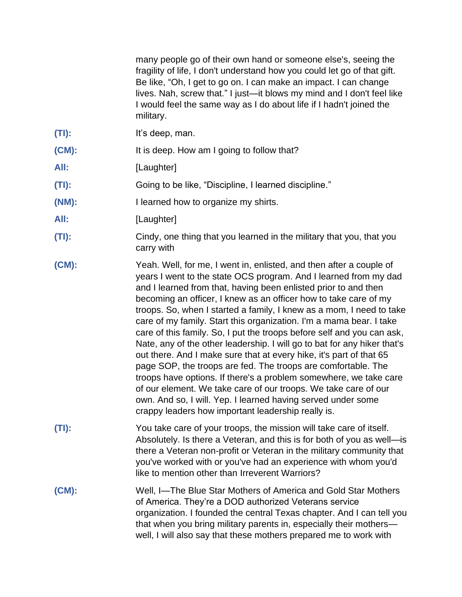many people go of their own hand or someone else's, seeing the fragility of life, I don't understand how you could let go of that gift. Be like, "Oh, I get to go on. I can make an impact. I can change lives. Nah, screw that." I just—it blows my mind and I don't feel like I would feel the same way as I do about life if I hadn't joined the military.

- **(TI):** It's deep, man.
- **(CM):** It is deep. How am I going to follow that?
- **All:** [Laughter]
- **(TI):** Going to be like, "Discipline, I learned discipline."
- **(NM):** I learned how to organize my shirts.
- All: [Laughter]
- **(TI):** Cindy, one thing that you learned in the military that you, that you carry with
- **(CM):** Yeah. Well, for me, I went in, enlisted, and then after a couple of years I went to the state OCS program. And I learned from my dad and I learned from that, having been enlisted prior to and then becoming an officer, I knew as an officer how to take care of my troops. So, when I started a family, I knew as a mom, I need to take care of my family. Start this organization. I'm a mama bear. I take care of this family. So, I put the troops before self and you can ask, Nate, any of the other leadership. I will go to bat for any hiker that's out there. And I make sure that at every hike, it's part of that 65 page SOP, the troops are fed. The troops are comfortable. The troops have options. If there's a problem somewhere, we take care of our element. We take care of our troops. We take care of our own. And so, I will. Yep. I learned having served under some crappy leaders how important leadership really is.
- **(TI):** You take care of your troops, the mission will take care of itself. Absolutely. Is there a Veteran, and this is for both of you as well—is there a Veteran non-profit or Veteran in the military community that you've worked with or you've had an experience with whom you'd like to mention other than Irreverent Warriors?
- **(CM):** Well, I—The Blue Star Mothers of America and Gold Star Mothers of America. They're a DOD authorized Veterans service organization. I founded the central Texas chapter. And I can tell you that when you bring military parents in, especially their mothers well, I will also say that these mothers prepared me to work with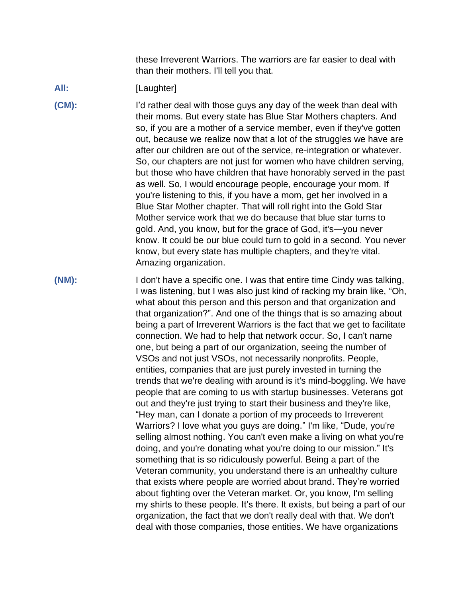these Irreverent Warriors. The warriors are far easier to deal with than their mothers. I'll tell you that.

### All: *Ill.* [Laughter]

**(CM):** I'd rather deal with those guys any day of the week than deal with their moms. But every state has Blue Star Mothers chapters. And so, if you are a mother of a service member, even if they've gotten out, because we realize now that a lot of the struggles we have are after our children are out of the service, re-integration or whatever. So, our chapters are not just for women who have children serving, but those who have children that have honorably served in the past as well. So, I would encourage people, encourage your mom. If you're listening to this, if you have a mom, get her involved in a Blue Star Mother chapter. That will roll right into the Gold Star Mother service work that we do because that blue star turns to gold. And, you know, but for the grace of God, it's—you never know. It could be our blue could turn to gold in a second. You never know, but every state has multiple chapters, and they're vital. Amazing organization.

**(NM):** I don't have a specific one. I was that entire time Cindy was talking, I was listening, but I was also just kind of racking my brain like, "Oh, what about this person and this person and that organization and that organization?". And one of the things that is so amazing about being a part of Irreverent Warriors is the fact that we get to facilitate connection. We had to help that network occur. So, I can't name one, but being a part of our organization, seeing the number of VSOs and not just VSOs, not necessarily nonprofits. People, entities, companies that are just purely invested in turning the trends that we're dealing with around is it's mind-boggling. We have people that are coming to us with startup businesses. Veterans got out and they're just trying to start their business and they're like, "Hey man, can I donate a portion of my proceeds to Irreverent Warriors? I love what you guys are doing." I'm like, "Dude, you're selling almost nothing. You can't even make a living on what you're doing, and you're donating what you're doing to our mission." It's something that is so ridiculously powerful. Being a part of the Veteran community, you understand there is an unhealthy culture that exists where people are worried about brand. They're worried about fighting over the Veteran market. Or, you know, I'm selling my shirts to these people. It's there. It exists, but being a part of our organization, the fact that we don't really deal with that. We don't deal with those companies, those entities. We have organizations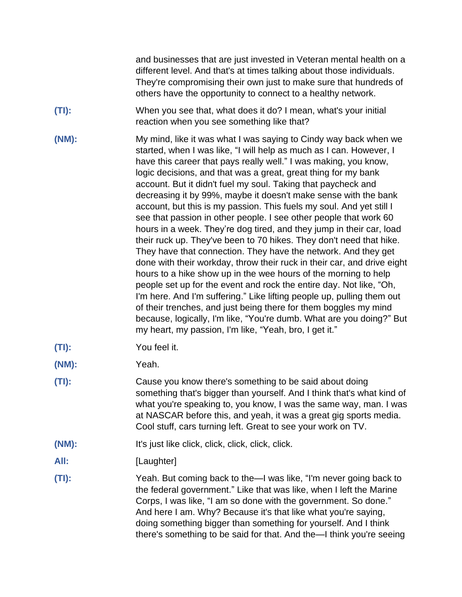and businesses that are just invested in Veteran mental health on a different level. And that's at times talking about those individuals. They're compromising their own just to make sure that hundreds of others have the opportunity to connect to a healthy network.

- **(TI):** When you see that, what does it do? I mean, what's your initial reaction when you see something like that?
- **(NM):** My mind, like it was what I was saying to Cindy way back when we started, when I was like, "I will help as much as I can. However, I have this career that pays really well." I was making, you know, logic decisions, and that was a great, great thing for my bank account. But it didn't fuel my soul. Taking that paycheck and decreasing it by 99%, maybe it doesn't make sense with the bank account, but this is my passion. This fuels my soul. And yet still I see that passion in other people. I see other people that work 60 hours in a week. They're dog tired, and they jump in their car, load their ruck up. They've been to 70 hikes. They don't need that hike. They have that connection. They have the network. And they get done with their workday, throw their ruck in their car, and drive eight hours to a hike show up in the wee hours of the morning to help people set up for the event and rock the entire day. Not like, "Oh, I'm here. And I'm suffering." Like lifting people up, pulling them out of their trenches, and just being there for them boggles my mind because, logically, I'm like, "You're dumb. What are you doing?" But my heart, my passion, I'm like, "Yeah, bro, I get it."
- **(TI):** You feel it.
- **(NM):** Yeah.
- **(TI):** Cause you know there's something to be said about doing something that's bigger than yourself. And I think that's what kind of what you're speaking to, you know, I was the same way, man. I was at NASCAR before this, and yeah, it was a great gig sports media. Cool stuff, cars turning left. Great to see your work on TV.
- **(NM):** It's just like click, click, click, click, click.
- All: [Laughter]
- **(TI):** Yeah. But coming back to the—I was like, "I'm never going back to the federal government." Like that was like, when I left the Marine Corps, I was like, "I am so done with the government. So done." And here I am. Why? Because it's that like what you're saying, doing something bigger than something for yourself. And I think there's something to be said for that. And the—I think you're seeing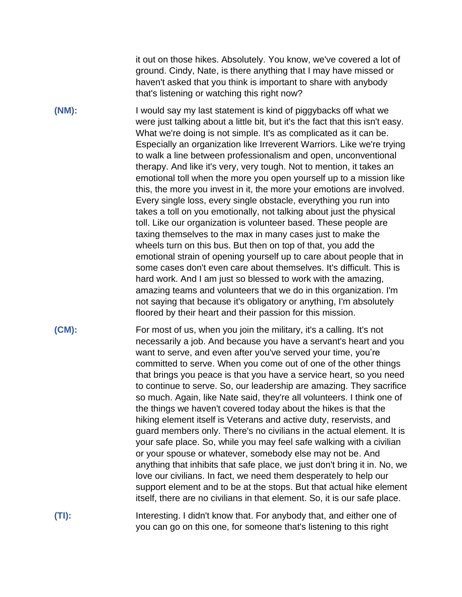it out on those hikes. Absolutely. You know, we've covered a lot of ground. Cindy, Nate, is there anything that I may have missed or haven't asked that you think is important to share with anybody that's listening or watching this right now?

**(NM):** I would say my last statement is kind of piggybacks off what we were just talking about a little bit, but it's the fact that this isn't easy. What we're doing is not simple. It's as complicated as it can be. Especially an organization like Irreverent Warriors. Like we're trying to walk a line between professionalism and open, unconventional therapy. And like it's very, very tough. Not to mention, it takes an emotional toll when the more you open yourself up to a mission like this, the more you invest in it, the more your emotions are involved. Every single loss, every single obstacle, everything you run into takes a toll on you emotionally, not talking about just the physical toll. Like our organization is volunteer based. These people are taxing themselves to the max in many cases just to make the wheels turn on this bus. But then on top of that, you add the emotional strain of opening yourself up to care about people that in some cases don't even care about themselves. It's difficult. This is hard work. And I am just so blessed to work with the amazing, amazing teams and volunteers that we do in this organization. I'm not saying that because it's obligatory or anything, I'm absolutely floored by their heart and their passion for this mission.

**(CM):** For most of us, when you join the military, it's a calling. It's not necessarily a job. And because you have a servant's heart and you want to serve, and even after you've served your time, you're committed to serve. When you come out of one of the other things that brings you peace is that you have a service heart, so you need to continue to serve. So, our leadership are amazing. They sacrifice so much. Again, like Nate said, they're all volunteers. I think one of the things we haven't covered today about the hikes is that the hiking element itself is Veterans and active duty, reservists, and guard members only. There's no civilians in the actual element. It is your safe place. So, while you may feel safe walking with a civilian or your spouse or whatever, somebody else may not be. And anything that inhibits that safe place, we just don't bring it in. No, we love our civilians. In fact, we need them desperately to help our support element and to be at the stops. But that actual hike element itself, there are no civilians in that element. So, it is our safe place.

**(TI):** Interesting. I didn't know that. For anybody that, and either one of you can go on this one, for someone that's listening to this right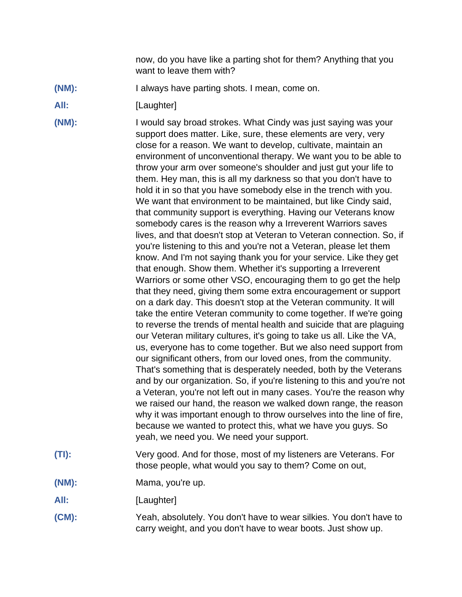now, do you have like a parting shot for them? Anything that you want to leave them with?

- **(NM):** I always have parting shots. I mean, come on.
- All: [Laughter]

**(NM):** I would say broad strokes. What Cindy was just saying was your support does matter. Like, sure, these elements are very, very close for a reason. We want to develop, cultivate, maintain an environment of unconventional therapy. We want you to be able to throw your arm over someone's shoulder and just gut your life to them. Hey man, this is all my darkness so that you don't have to hold it in so that you have somebody else in the trench with you. We want that environment to be maintained, but like Cindy said, that community support is everything. Having our Veterans know somebody cares is the reason why a Irreverent Warriors saves lives, and that doesn't stop at Veteran to Veteran connection. So, if you're listening to this and you're not a Veteran, please let them know. And I'm not saying thank you for your service. Like they get that enough. Show them. Whether it's supporting a Irreverent Warriors or some other VSO, encouraging them to go get the help that they need, giving them some extra encouragement or support on a dark day. This doesn't stop at the Veteran community. It will take the entire Veteran community to come together. If we're going to reverse the trends of mental health and suicide that are plaguing our Veteran military cultures, it's going to take us all. Like the VA, us, everyone has to come together. But we also need support from our significant others, from our loved ones, from the community. That's something that is desperately needed, both by the Veterans and by our organization. So, if you're listening to this and you're not a Veteran, you're not left out in many cases. You're the reason why we raised our hand, the reason we walked down range, the reason why it was important enough to throw ourselves into the line of fire, because we wanted to protect this, what we have you guys. So yeah, we need you. We need your support.

- **(TI):** Very good. And for those, most of my listeners are Veterans. For those people, what would you say to them? Come on out,
- **(NM):** Mama, you're up.
- All: [Laughter]
- **(CM):** Yeah, absolutely. You don't have to wear silkies. You don't have to carry weight, and you don't have to wear boots. Just show up.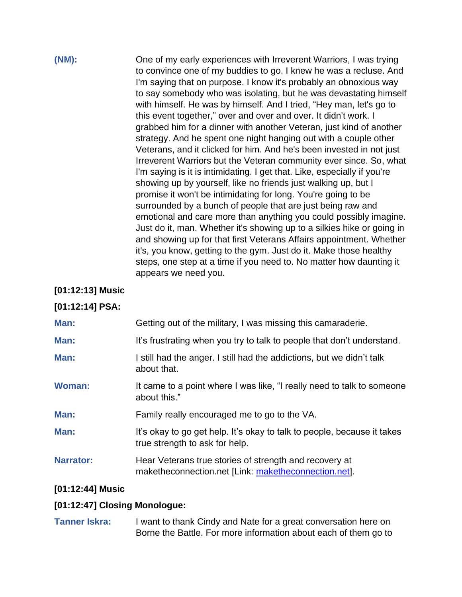# **(NM):** One of my early experiences with Irreverent Warriors, I was trying to convince one of my buddies to go. I knew he was a recluse. And I'm saying that on purpose. I know it's probably an obnoxious way to say somebody who was isolating, but he was devastating himself with himself. He was by himself. And I tried, "Hey man, let's go to this event together," over and over and over. It didn't work. I grabbed him for a dinner with another Veteran, just kind of another strategy. And he spent one night hanging out with a couple other Veterans, and it clicked for him. And he's been invested in not just Irreverent Warriors but the Veteran community ever since. So, what I'm saying is it is intimidating. I get that. Like, especially if you're showing up by yourself, like no friends just walking up, but I promise it won't be intimidating for long. You're going to be surrounded by a bunch of people that are just being raw and emotional and care more than anything you could possibly imagine. Just do it, man. Whether it's showing up to a silkies hike or going in and showing up for that first Veterans Affairs appointment. Whether it's, you know, getting to the gym. Just do it. Make those healthy steps, one step at a time if you need to. No matter how daunting it appears we need you.

### **[01:12:13] Music**

# **[01:12:14] PSA:**

| It's frustrating when you try to talk to people that don't understand.                                         |
|----------------------------------------------------------------------------------------------------------------|
|                                                                                                                |
| I still had the anger. I still had the addictions, but we didn't talk<br>about that.                           |
| It came to a point where I was like, "I really need to talk to someone<br>about this."                         |
| Family really encouraged me to go to the VA.                                                                   |
| It's okay to go get help. It's okay to talk to people, because it takes<br>true strength to ask for help.      |
| Hear Veterans true stories of strength and recovery at<br>maketheconnection.net [Link: maketheconnection.net]. |
|                                                                                                                |

# **[01:12:44] Music**

# **[01:12:47] Closing Monologue:**

**Tanner Iskra:** I want to thank Cindy and Nate for a great conversation here on Borne the Battle. For more information about each of them go to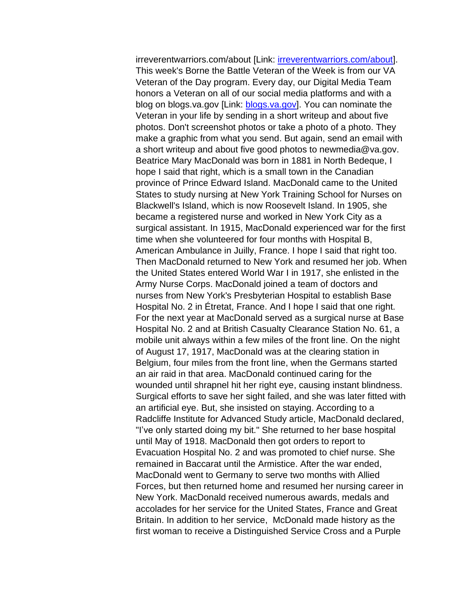irreverentwarriors.com/about [Link: [irreverentwarriors.com/about\]](https://www.irreverentwarriors.com/about/). This week's Borne the Battle Veteran of the Week is from our VA Veteran of the Day program. Every day, our Digital Media Team honors a Veteran on all of our social media platforms and with a blog on blogs.va.gov [Link: [blogs.va.gov\]](https://blogs.va.gov/VAntage). You can nominate the Veteran in your life by sending in a short writeup and about five photos. Don't screenshot photos or take a photo of a photo. They make a graphic from what you send. But again, send an email with a short writeup and about five good photos to newmedia@va.gov. Beatrice Mary MacDonald was born in 1881 in North Bedeque, I hope I said that right, which is a small town in the Canadian province of Prince Edward Island. MacDonald came to the United States to study nursing at New York Training School for Nurses on Blackwell's Island, which is now Roosevelt Island. In 1905, she became a registered nurse and worked in New York City as a surgical assistant. In 1915, MacDonald experienced war for the first time when she volunteered for four months with Hospital B, American Ambulance in Juilly, France. I hope I said that right too. Then MacDonald returned to New York and resumed her job. When the United States entered World War I in 1917, she enlisted in the Army Nurse Corps. MacDonald joined a team of doctors and nurses from New York's Presbyterian Hospital to establish Base Hospital No. 2 in Étretat, France. And I hope I said that one right. For the next year at MacDonald served as a surgical nurse at Base Hospital No. 2 and at British Casualty Clearance Station No. 61, a mobile unit always within a few miles of the front line. On the night of August 17, 1917, MacDonald was at the clearing station in Belgium, four miles from the front line, when the Germans started an air raid in that area. MacDonald continued caring for the wounded until shrapnel hit her right eye, causing instant blindness. Surgical efforts to save her sight failed, and she was later fitted with an artificial eye. But, she insisted on staying. According to a Radcliffe Institute for Advanced Study article, MacDonald declared, "I've only started doing my bit." She returned to her base hospital until May of 1918. MacDonald then got orders to report to Evacuation Hospital No. 2 and was promoted to chief nurse. She remained in Baccarat until the Armistice. After the war ended, MacDonald went to Germany to serve two months with Allied Forces, but then returned home and resumed her nursing career in New York. MacDonald received numerous awards, medals and accolades for her service for the United States, France and Great Britain. In addition to her service, McDonald made history as the first woman to receive a Distinguished Service Cross and a Purple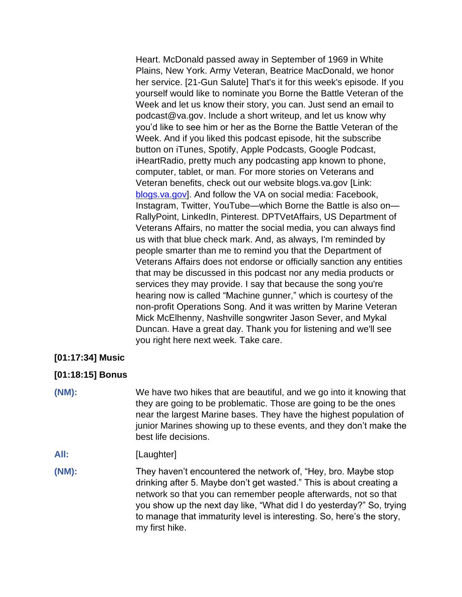Heart. McDonald passed away in September of 1969 in White Plains, New York. Army Veteran, Beatrice MacDonald, we honor her service. [21-Gun Salute] That's it for this week's episode. If you yourself would like to nominate you Borne the Battle Veteran of the Week and let us know their story, you can. Just send an email to podcast@va.gov. Include a short writeup, and let us know why you'd like to see him or her as the Borne the Battle Veteran of the Week. And if you liked this podcast episode, hit the subscribe button on iTunes, Spotify, Apple Podcasts, Google Podcast, iHeartRadio, pretty much any podcasting app known to phone, computer, tablet, or man. For more stories on Veterans and Veteran benefits, check out our website blogs.va.gov [Link: [blogs.va.gov\]](http://www.blogs.va.gov/). And follow the VA on social media: Facebook, Instagram, Twitter, YouTube—which Borne the Battle is also on— RallyPoint, LinkedIn, Pinterest. DPTVetAffairs, US Department of Veterans Affairs, no matter the social media, you can always find us with that blue check mark. And, as always, I'm reminded by people smarter than me to remind you that the Department of Veterans Affairs does not endorse or officially sanction any entities that may be discussed in this podcast nor any media products or services they may provide. I say that because the song you're hearing now is called "Machine gunner," which is courtesy of the non-profit Operations Song. And it was written by Marine Veteran Mick McElhenny, Nashville songwriter Jason Sever, and Mykal Duncan. Have a great day. Thank you for listening and we'll see you right here next week. Take care.

### **[01:17:34] Music**

### **[01:18:15] Bonus**

**(NM):** We have two hikes that are beautiful, and we go into it knowing that they are going to be problematic. Those are going to be the ones near the largest Marine bases. They have the highest population of junior Marines showing up to these events, and they don't make the best life decisions.

- All: [Laughter]
- **(NM):** They haven't encountered the network of, "Hey, bro. Maybe stop drinking after 5. Maybe don't get wasted." This is about creating a network so that you can remember people afterwards, not so that you show up the next day like, "What did I do yesterday?" So, trying to manage that immaturity level is interesting. So, here's the story, my first hike.